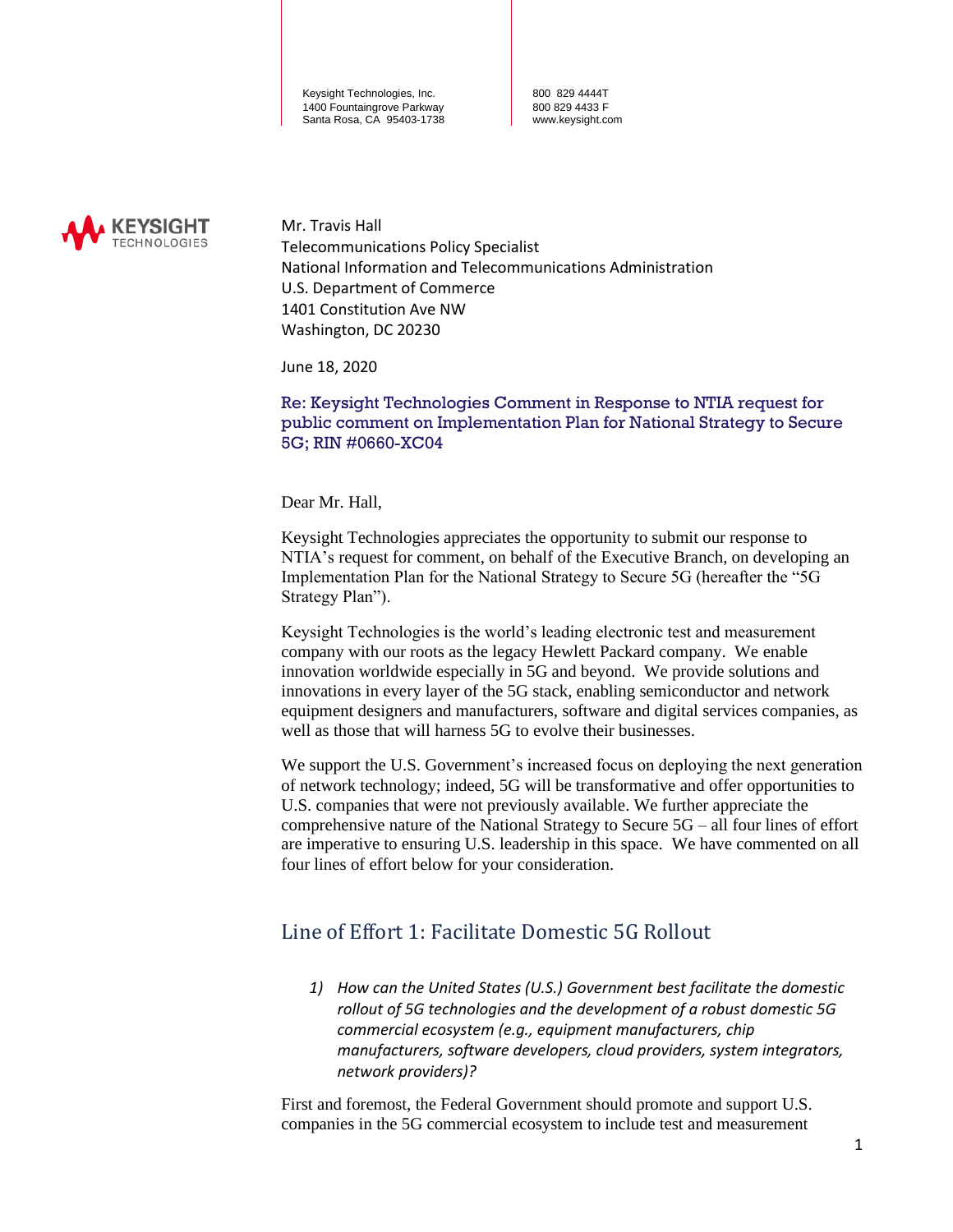800 829 4444T 800 829 4433 F www.keysight.com



Mr. Travis Hall Telecommunications Policy Specialist National Information and Telecommunications Administration U.S. Department of Commerce 1401 Constitution Ave NW Washington, DC 20230

June 18, 2020

Re: Keysight Technologies Comment in Response to NTIA request for public comment on Implementation Plan for National Strategy to Secure 5G; RIN #0660-XC04

Dear Mr. Hall,

Keysight Technologies appreciates the opportunity to submit our response to NTIA's request for comment, on behalf of the Executive Branch, on developing an Implementation Plan for the National Strategy to Secure 5G (hereafter the "5G Strategy Plan").

Keysight Technologies is the world's leading electronic test and measurement company with our roots as the legacy Hewlett Packard company. We enable innovation worldwide especially in 5G and beyond. We provide solutions and innovations in every layer of the 5G stack, enabling semiconductor and network equipment designers and manufacturers, software and digital services companies, as well as those that will harness 5G to evolve their businesses.

We support the U.S. Government's increased focus on deploying the next generation of network technology; indeed, 5G will be transformative and offer opportunities to U.S. companies that were not previously available. We further appreciate the comprehensive nature of the National Strategy to Secure 5G – all four lines of effort are imperative to ensuring U.S. leadership in this space. We have commented on all four lines of effort below for your consideration.

### Line of Effort 1: Facilitate Domestic 5G Rollout

*1) How can the United States (U.S.) Government best facilitate the domestic rollout of 5G technologies and the development of a robust domestic 5G commercial ecosystem (e.g., equipment manufacturers, chip manufacturers, software developers, cloud providers, system integrators, network providers)?* 

First and foremost, the Federal Government should promote and support U.S. companies in the 5G commercial ecosystem to include test and measurement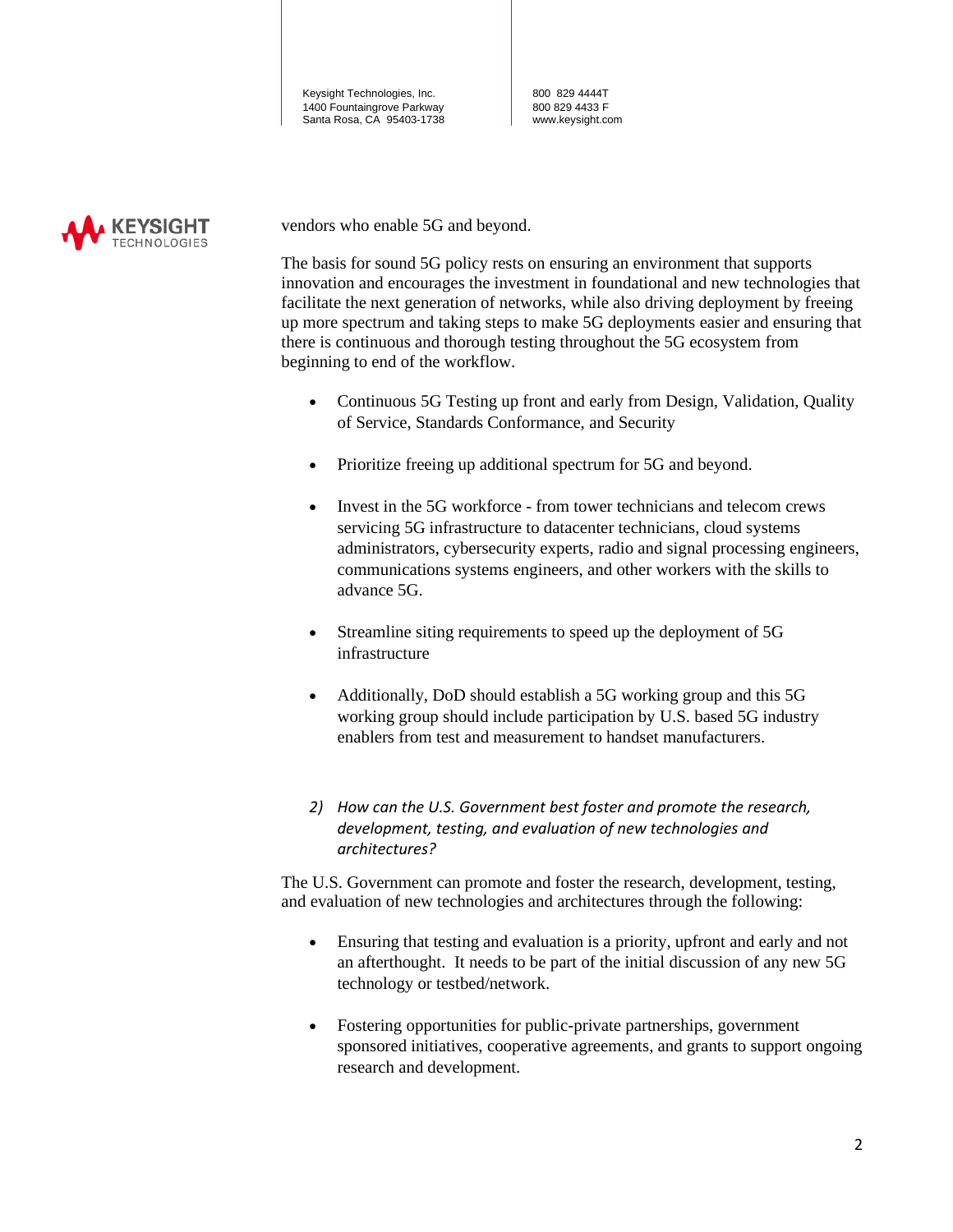800 829 4444T 800 829 4433 F www.keysight.com



vendors who enable 5G and beyond.

The basis for sound 5G policy rests on ensuring an environment that supports innovation and encourages the investment in foundational and new technologies that facilitate the next generation of networks, while also driving deployment by freeing up more spectrum and taking steps to make 5G deployments easier and ensuring that there is continuous and thorough testing throughout the 5G ecosystem from beginning to end of the workflow.

- Continuous 5G Testing up front and early from Design, Validation, Quality of Service, Standards Conformance, and Security
- Prioritize freeing up additional spectrum for 5G and beyond.
- Invest in the 5G workforce from tower technicians and telecom crews servicing 5G infrastructure to datacenter technicians, cloud systems administrators, cybersecurity experts, radio and signal processing engineers, communications systems engineers, and other workers with the skills to advance 5G.
- Streamline siting requirements to speed up the deployment of 5G infrastructure
- Additionally, DoD should establish a 5G working group and this 5G working group should include participation by U.S. based 5G industry enablers from test and measurement to handset manufacturers.
- *2) How can the U.S. Government best foster and promote the research, development, testing, and evaluation of new technologies and architectures?*

The U.S. Government can promote and foster the research, development, testing, and evaluation of new technologies and architectures through the following:

- Ensuring that testing and evaluation is a priority, upfront and early and not an afterthought. It needs to be part of the initial discussion of any new 5G technology or testbed/network.
- Fostering opportunities for public-private partnerships, government sponsored initiatives, cooperative agreements, and grants to support ongoing research and development.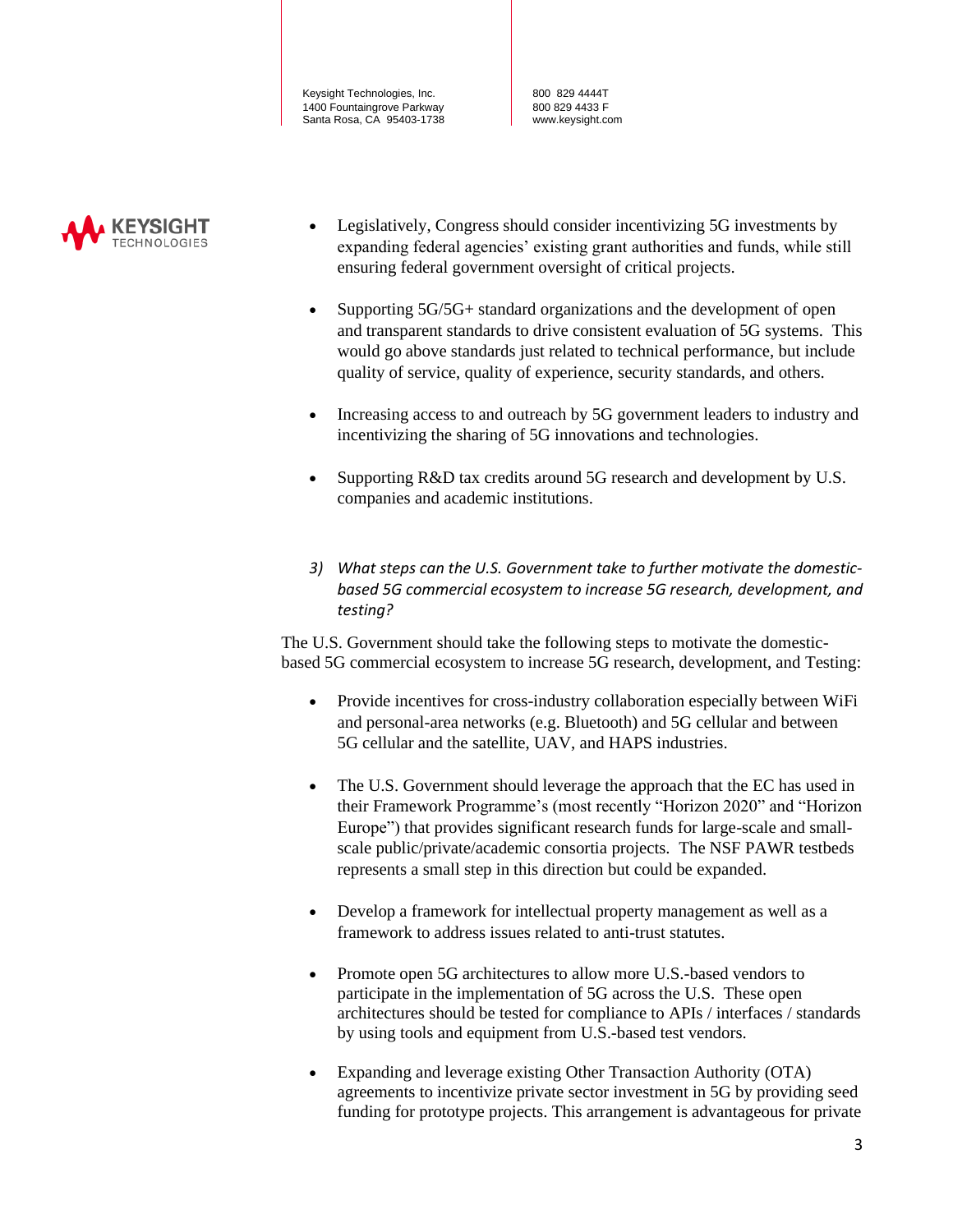800 829 4444T 800 829 4433 F www.keysight.com



- Legislatively, Congress should consider incentivizing 5G investments by expanding federal agencies' existing grant authorities and funds, while still ensuring federal government oversight of critical projects.
- Supporting 5G/5G+ standard organizations and the development of open and transparent standards to drive consistent evaluation of 5G systems. This would go above standards just related to technical performance, but include quality of service, quality of experience, security standards, and others.
- Increasing access to and outreach by 5G government leaders to industry and incentivizing the sharing of 5G innovations and technologies.
- Supporting R&D tax credits around 5G research and development by U.S. companies and academic institutions.
- *3) What steps can the U.S. Government take to further motivate the domesticbased 5G commercial ecosystem to increase 5G research, development, and testing?*

The U.S. Government should take the following steps to motivate the domesticbased 5G commercial ecosystem to increase 5G research, development, and Testing:

- Provide incentives for cross-industry collaboration especially between WiFi and personal-area networks (e.g. Bluetooth) and 5G cellular and between 5G cellular and the satellite, UAV, and HAPS industries.
- The U.S. Government should leverage the approach that the EC has used in their Framework Programme's (most recently "Horizon 2020" and "Horizon Europe") that provides significant research funds for large-scale and smallscale public/private/academic consortia projects. The NSF PAWR testbeds represents a small step in this direction but could be expanded.
- Develop a framework for intellectual property management as well as a framework to address issues related to anti-trust statutes.
- Promote open 5G architectures to allow more U.S.-based vendors to participate in the implementation of 5G across the U.S. These open architectures should be tested for compliance to APIs / interfaces / standards by using tools and equipment from U.S.-based test vendors.
- Expanding and leverage existing Other Transaction Authority (OTA) agreements to incentivize private sector investment in 5G by providing seed funding for prototype projects. This arrangement is advantageous for private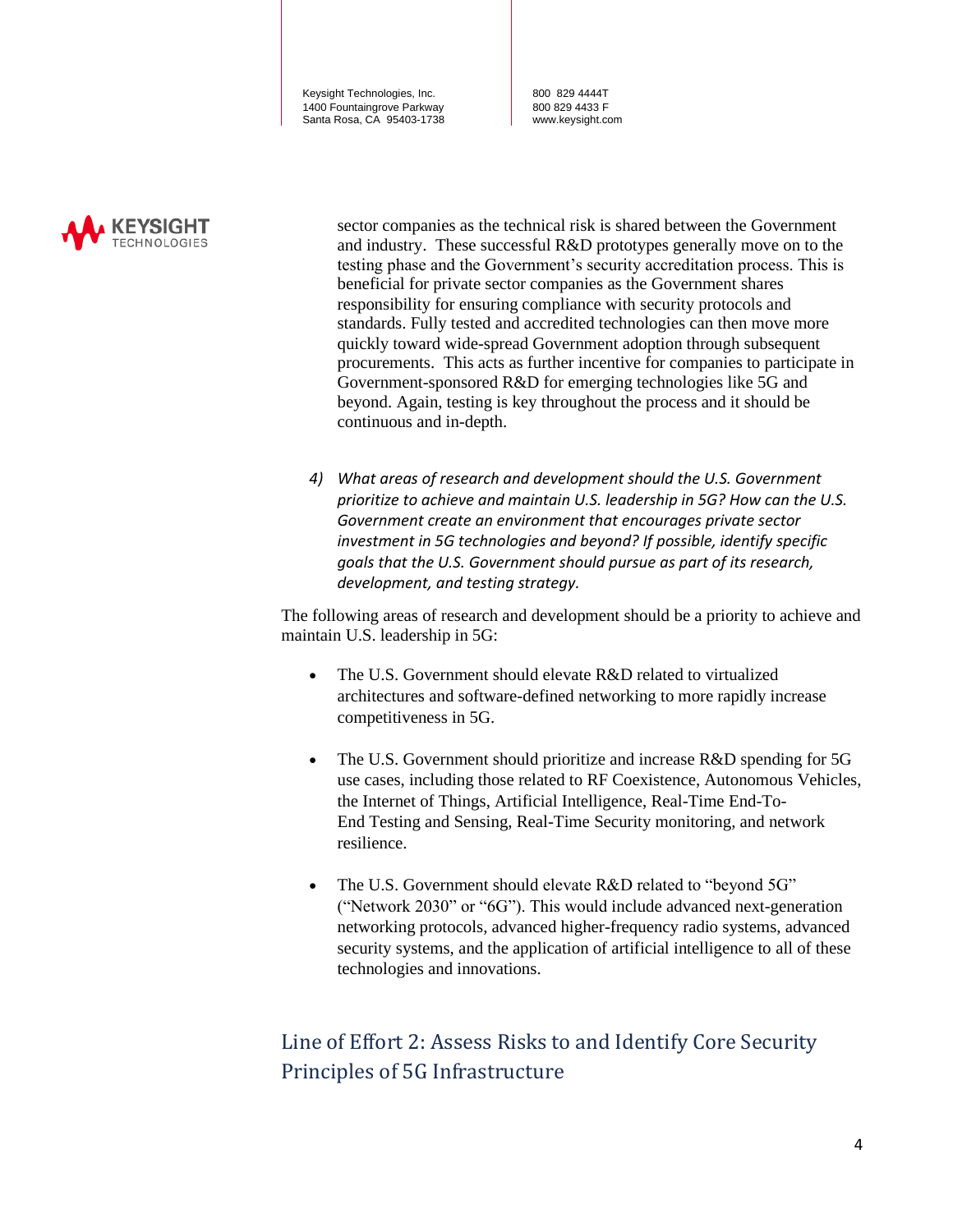800 829 4444T 800 829 4433 F www.keysight.com



sector companies as the technical risk is shared between the Government and industry. These successful R&D prototypes generally move on to the testing phase and the Government's security accreditation process. This is beneficial for private sector companies as the Government shares responsibility for ensuring compliance with security protocols and standards. Fully tested and accredited technologies can then move more quickly toward wide-spread Government adoption through subsequent procurements. This acts as further incentive for companies to participate in Government-sponsored R&D for emerging technologies like 5G and beyond. Again, testing is key throughout the process and it should be continuous and in-depth.

*4) What areas of research and development should the U.S. Government prioritize to achieve and maintain U.S. leadership in 5G? How can the U.S. Government create an environment that encourages private sector investment in 5G technologies and beyond? If possible, identify specific goals that the U.S. Government should pursue as part of its research, development, and testing strategy.* 

The following areas of research and development should be a priority to achieve and maintain U.S. leadership in 5G:

- The U.S. Government should elevate R&D related to virtualized architectures and software-defined networking to more rapidly increase competitiveness in 5G.
- The U.S. Government should prioritize and increase R&D spending for 5G use cases, including those related to RF Coexistence, Autonomous Vehicles, the Internet of Things, Artificial Intelligence, Real-Time End-To-End Testing and Sensing, Real-Time Security monitoring, and network resilience.
- The U.S. Government should elevate R&D related to "beyond 5G" ("Network 2030" or "6G"). This would include advanced next-generation networking protocols, advanced higher-frequency radio systems, advanced security systems, and the application of artificial intelligence to all of these technologies and innovations.

## Line of Effort 2: Assess Risks to and Identify Core Security Principles of 5G Infrastructure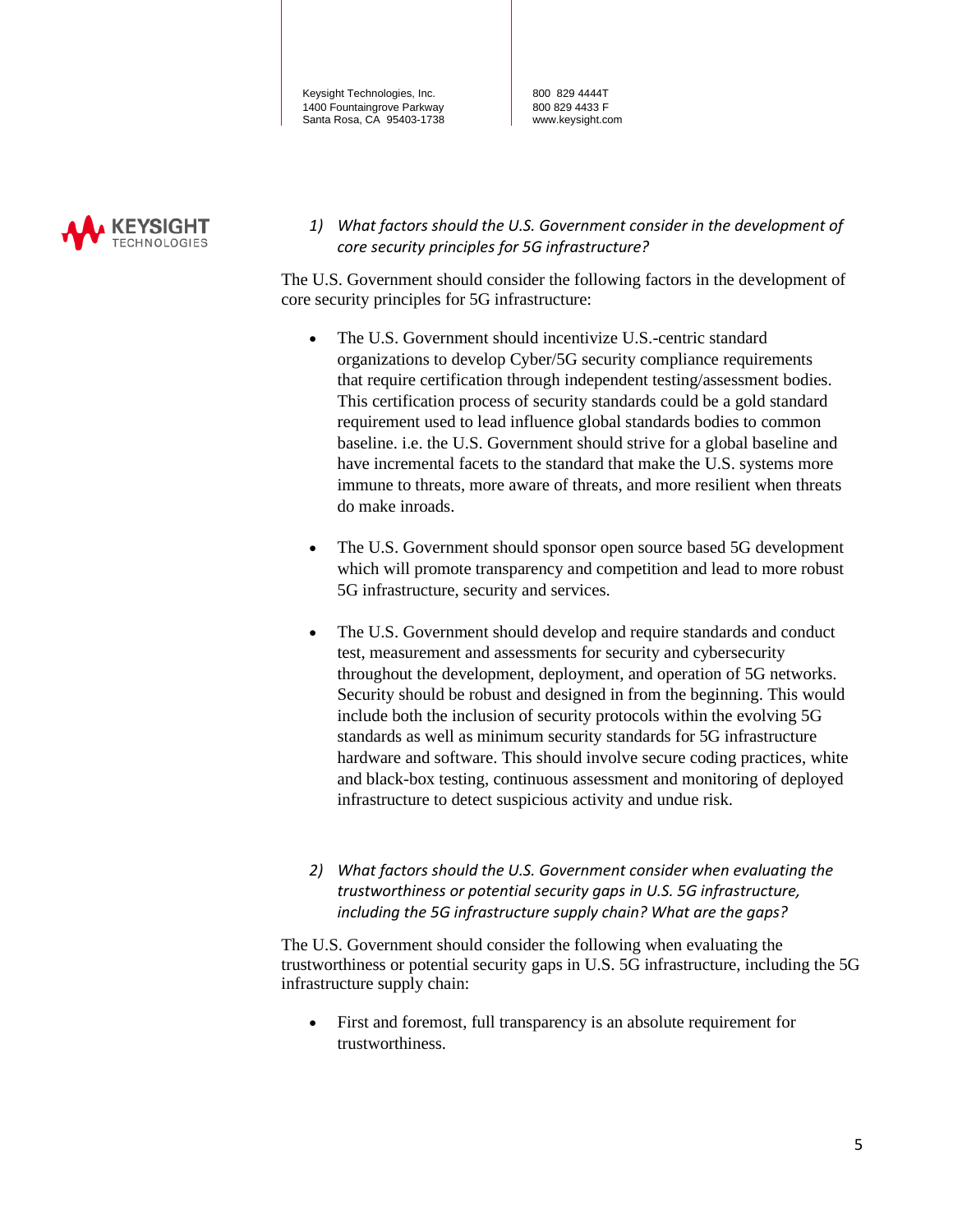800 829 4444T 800 829 4433 F www.keysight.com



*1) What factors should the U.S. Government consider in the development of core security principles for 5G infrastructure?* 

The U.S. Government should consider the following factors in the development of core security principles for 5G infrastructure:

- The U.S. Government should incentivize U.S.-centric standard organizations to develop Cyber/5G security compliance requirements that require certification through independent testing/assessment bodies. This certification process of security standards could be a gold standard requirement used to lead influence global standards bodies to common baseline. i.e. the U.S. Government should strive for a global baseline and have incremental facets to the standard that make the U.S. systems more immune to threats, more aware of threats, and more resilient when threats do make inroads.
- The U.S. Government should sponsor open source based 5G development which will promote transparency and competition and lead to more robust 5G infrastructure, security and services.
- The U.S. Government should develop and require standards and conduct test, measurement and assessments for security and cybersecurity throughout the development, deployment, and operation of 5G networks. Security should be robust and designed in from the beginning. This would include both the inclusion of security protocols within the evolving 5G standards as well as minimum security standards for 5G infrastructure hardware and software. This should involve secure coding practices, white and black-box testing, continuous assessment and monitoring of deployed infrastructure to detect suspicious activity and undue risk.
- *2) What factors should the U.S. Government consider when evaluating the trustworthiness or potential security gaps in U.S. 5G infrastructure, including the 5G infrastructure supply chain? What are the gaps?*

The U.S. Government should consider the following when evaluating the trustworthiness or potential security gaps in U.S. 5G infrastructure, including the 5G infrastructure supply chain:

• First and foremost, full transparency is an absolute requirement for trustworthiness.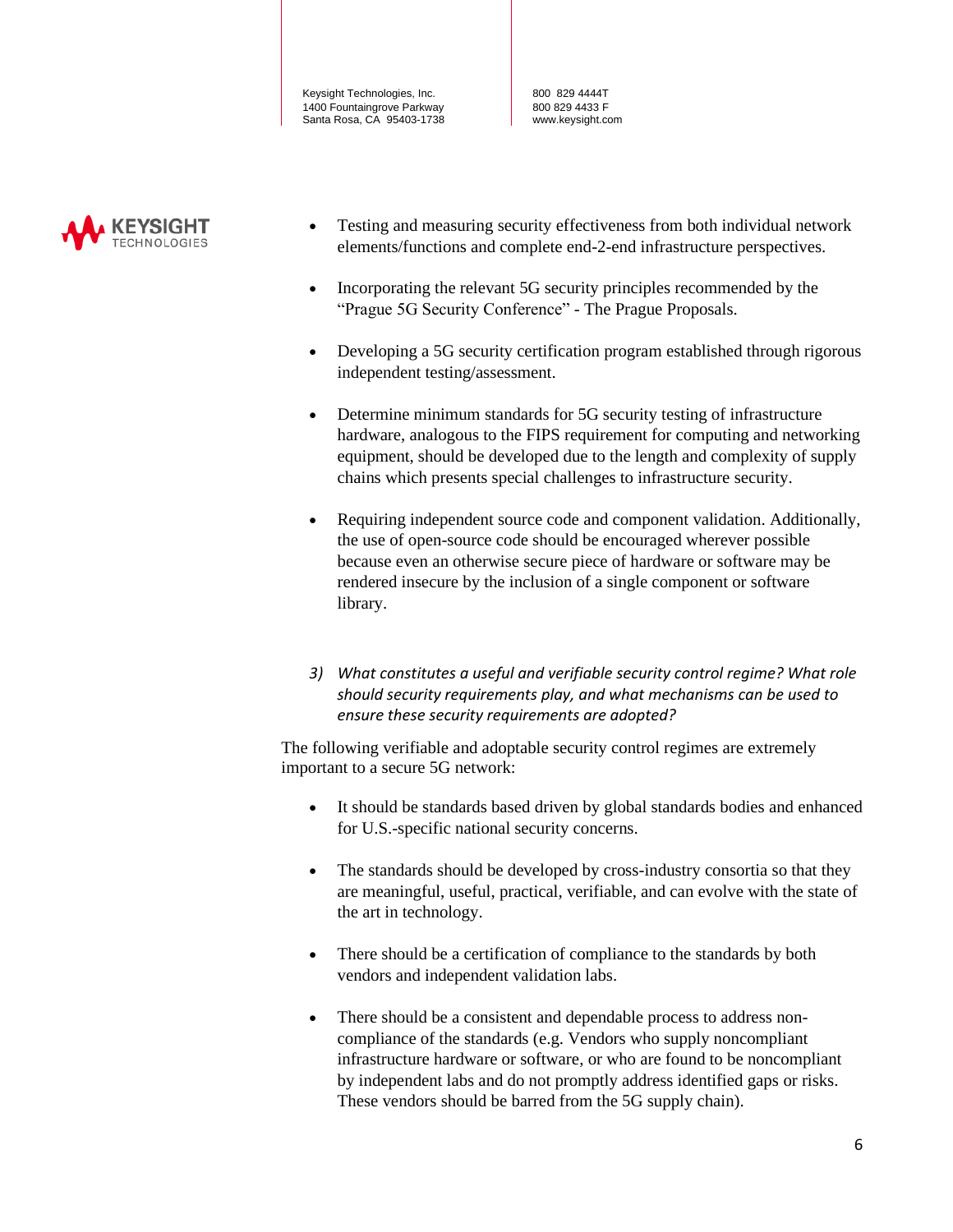800 829 4444T 800 829 4433 F www.keysight.com



- Testing and measuring security effectiveness from both individual network elements/functions and complete end-2-end infrastructure perspectives.
- Incorporating the relevant 5G security principles recommended by the "Prague 5G Security Conference" - The Prague Proposals.
- Developing a 5G security certification program established through rigorous independent testing/assessment.
- Determine minimum standards for 5G security testing of infrastructure hardware, analogous to the FIPS requirement for computing and networking equipment, should be developed due to the length and complexity of supply chains which presents special challenges to infrastructure security.
- Requiring independent source code and component validation. Additionally, the use of open-source code should be encouraged wherever possible because even an otherwise secure piece of hardware or software may be rendered insecure by the inclusion of a single component or software library.
- *3) What constitutes a useful and verifiable security control regime? What role should security requirements play, and what mechanisms can be used to ensure these security requirements are adopted?*

The following verifiable and adoptable security control regimes are extremely important to a secure 5G network:

- It should be standards based driven by global standards bodies and enhanced for U.S.-specific national security concerns.
- The standards should be developed by cross-industry consortia so that they are meaningful, useful, practical, verifiable, and can evolve with the state of the art in technology.
- There should be a certification of compliance to the standards by both vendors and independent validation labs.
- There should be a consistent and dependable process to address noncompliance of the standards (e.g. Vendors who supply noncompliant infrastructure hardware or software, or who are found to be noncompliant by independent labs and do not promptly address identified gaps or risks. These vendors should be barred from the 5G supply chain).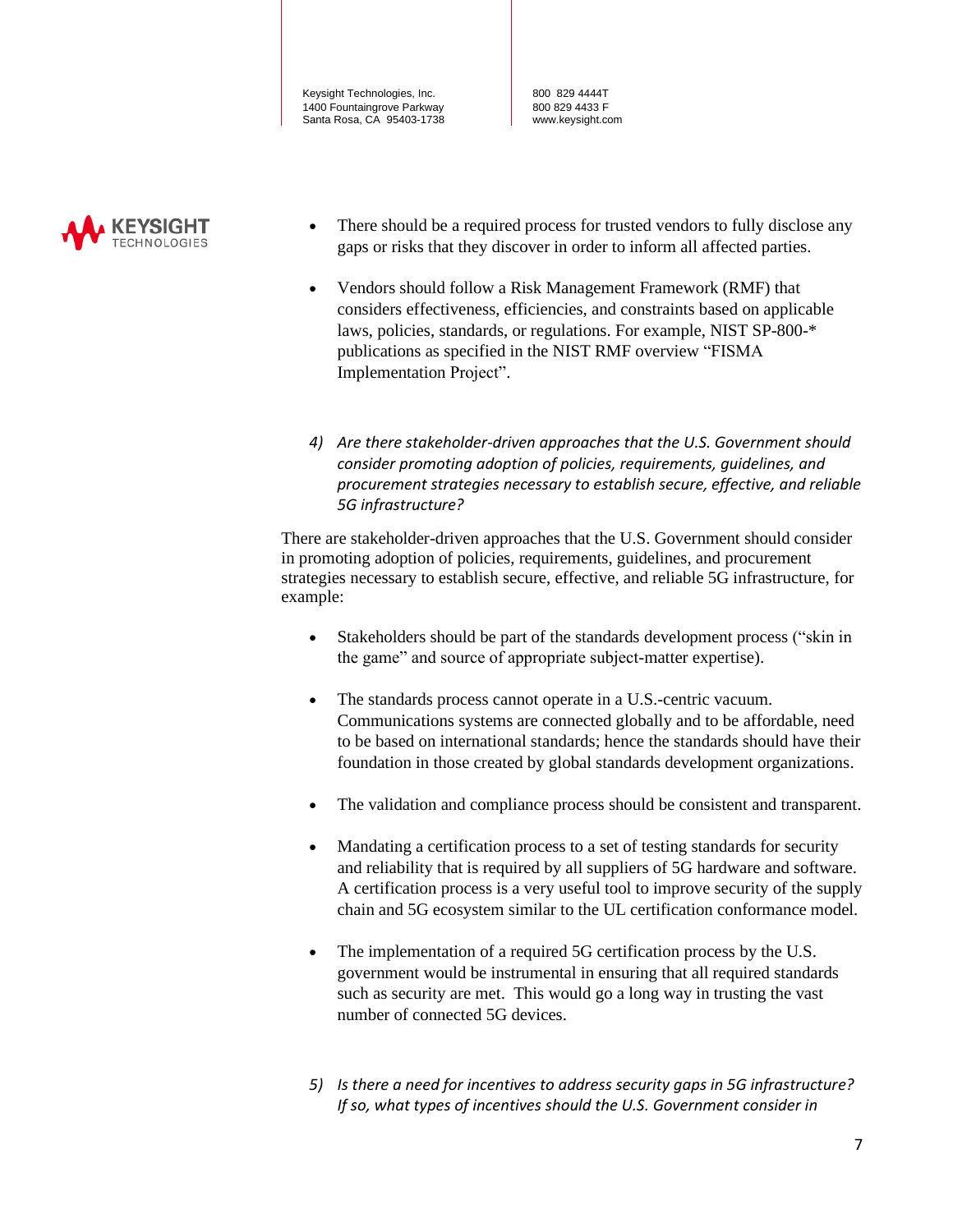800 829 4444T 800 829 4433 F www.keysight.com



- There should be a required process for trusted vendors to fully disclose any gaps or risks that they discover in order to inform all affected parties.
- Vendors should follow a Risk Management Framework (RMF) that considers effectiveness, efficiencies, and constraints based on applicable laws, policies, standards, or regulations. For example, NIST SP-800-\* publications as specified in the NIST RMF overview "FISMA Implementation Project".
- *4) Are there stakeholder-driven approaches that the U.S. Government should consider promoting adoption of policies, requirements, guidelines, and procurement strategies necessary to establish secure, effective, and reliable 5G infrastructure?*

There are stakeholder-driven approaches that the U.S. Government should consider in promoting adoption of policies, requirements, guidelines, and procurement strategies necessary to establish secure, effective, and reliable 5G infrastructure, for example:

- Stakeholders should be part of the standards development process ("skin in the game" and source of appropriate subject-matter expertise).
- The standards process cannot operate in a U.S.-centric vacuum. Communications systems are connected globally and to be affordable, need to be based on international standards; hence the standards should have their foundation in those created by global standards development organizations.
- The validation and compliance process should be consistent and transparent.
- Mandating a certification process to a set of testing standards for security and reliability that is required by all suppliers of 5G hardware and software. A certification process is a very useful tool to improve security of the supply chain and 5G ecosystem similar to the UL certification conformance model.
- The implementation of a required 5G certification process by the U.S. government would be instrumental in ensuring that all required standards such as security are met. This would go a long way in trusting the vast number of connected 5G devices.
- *5) Is there a need for incentives to address security gaps in 5G infrastructure? If so, what types of incentives should the U.S. Government consider in*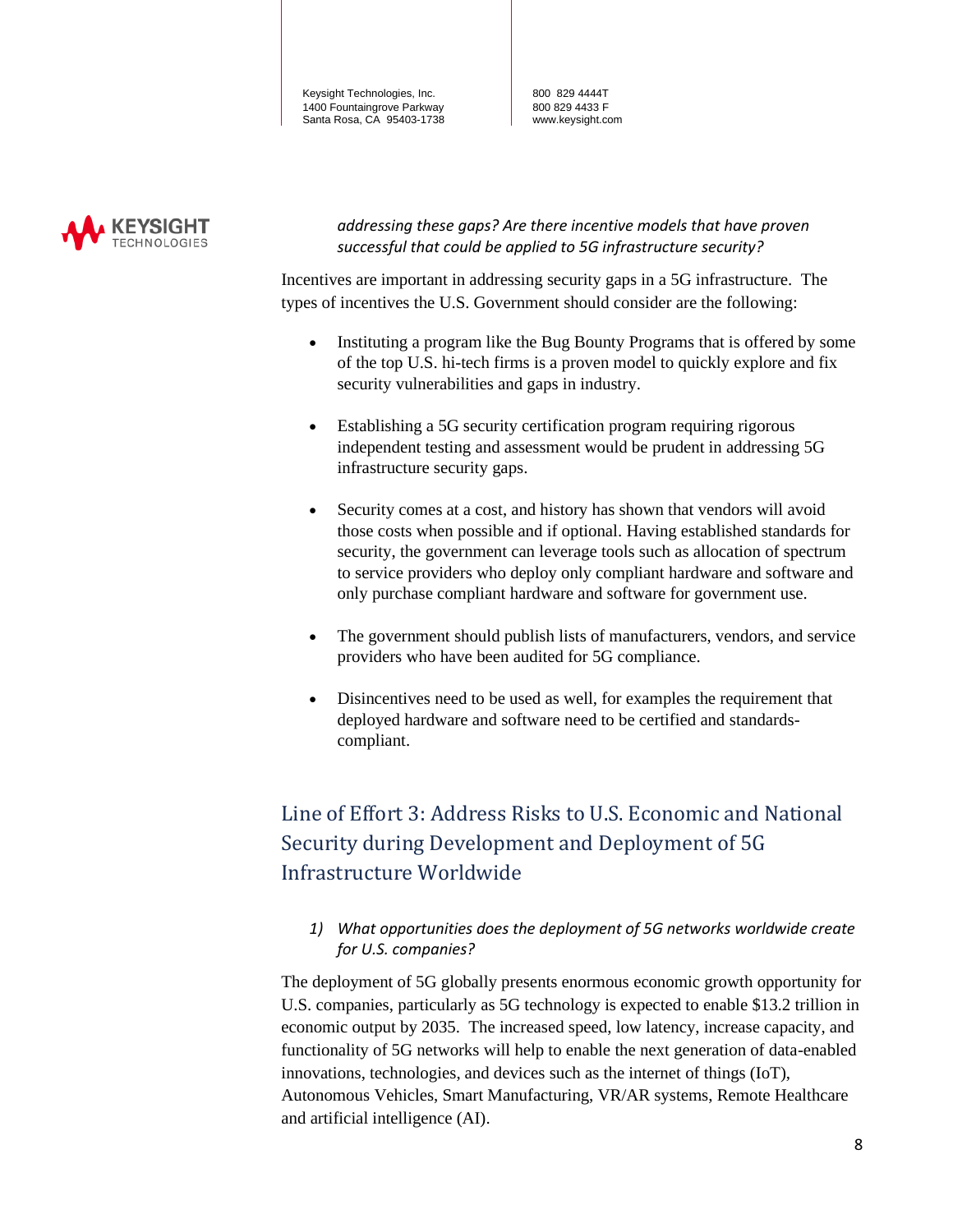800 829 4444T 800 829 4433 F www.keysight.com



*addressing these gaps? Are there incentive models that have proven successful that could be applied to 5G infrastructure security?*

Incentives are important in addressing security gaps in a 5G infrastructure. The types of incentives the U.S. Government should consider are the following:

- Instituting a program like the Bug Bounty Programs that is offered by some of the top U.S. hi-tech firms is a proven model to quickly explore and fix security vulnerabilities and gaps in industry.
- Establishing a 5G security certification program requiring rigorous independent testing and assessment would be prudent in addressing 5G infrastructure security gaps.
- Security comes at a cost, and history has shown that vendors will avoid those costs when possible and if optional. Having established standards for security, the government can leverage tools such as allocation of spectrum to service providers who deploy only compliant hardware and software and only purchase compliant hardware and software for government use.
- The government should publish lists of manufacturers, vendors, and service providers who have been audited for 5G compliance.
- Disincentives need to be used as well, for examples the requirement that deployed hardware and software need to be certified and standardscompliant.

# Line of Effort 3: Address Risks to U.S. Economic and National Security during Development and Deployment of 5G Infrastructure Worldwide

*1) What opportunities does the deployment of 5G networks worldwide create for U.S. companies?* 

The deployment of 5G globally presents enormous economic growth opportunity for U.S. companies, particularly as 5G technology is expected to enable \$13.2 trillion in economic output by 2035. The increased speed, low latency, increase capacity, and functionality of 5G networks will help to enable the next generation of data-enabled innovations, technologies, and devices such as the internet of things (IoT), Autonomous Vehicles, Smart Manufacturing, VR/AR systems, Remote Healthcare and artificial intelligence (AI).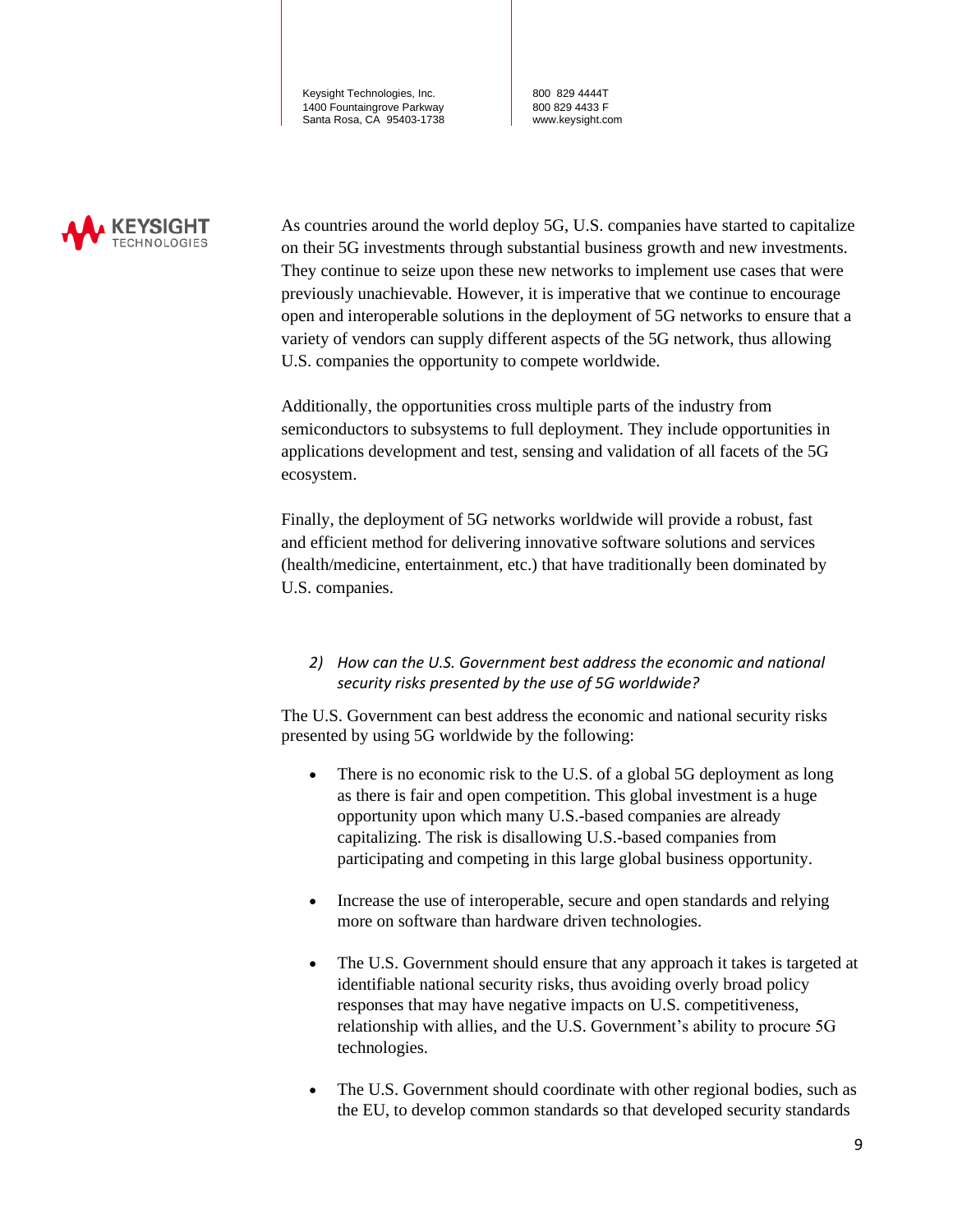800 829 4444T 800 829 4433 F www.keysight.com



As countries around the world deploy 5G, U.S. companies have started to capitalize on their 5G investments through substantial business growth and new investments. They continue to seize upon these new networks to implement use cases that were previously unachievable. However, it is imperative that we continue to encourage open and interoperable solutions in the deployment of 5G networks to ensure that a variety of vendors can supply different aspects of the 5G network, thus allowing U.S. companies the opportunity to compete worldwide.

Additionally, the opportunities cross multiple parts of the industry from semiconductors to subsystems to full deployment. They include opportunities in applications development and test, sensing and validation of all facets of the 5G ecosystem.

Finally, the deployment of 5G networks worldwide will provide a robust, fast and efficient method for delivering innovative software solutions and services (health/medicine, entertainment, etc.) that have traditionally been dominated by U.S. companies.

#### *2) How can the U.S. Government best address the economic and national security risks presented by the use of 5G worldwide?*

The U.S. Government can best address the economic and national security risks presented by using 5G worldwide by the following:

- There is no economic risk to the U.S. of a global 5G deployment as long as there is fair and open competition. This global investment is a huge opportunity upon which many U.S.-based companies are already capitalizing. The risk is disallowing U.S.-based companies from participating and competing in this large global business opportunity.
- Increase the use of interoperable, secure and open standards and relying more on software than hardware driven technologies.
- The U.S. Government should ensure that any approach it takes is targeted at identifiable national security risks, thus avoiding overly broad policy responses that may have negative impacts on U.S. competitiveness, relationship with allies, and the U.S. Government's ability to procure 5G technologies.
- The U.S. Government should coordinate with other regional bodies, such as the EU, to develop common standards so that developed security standards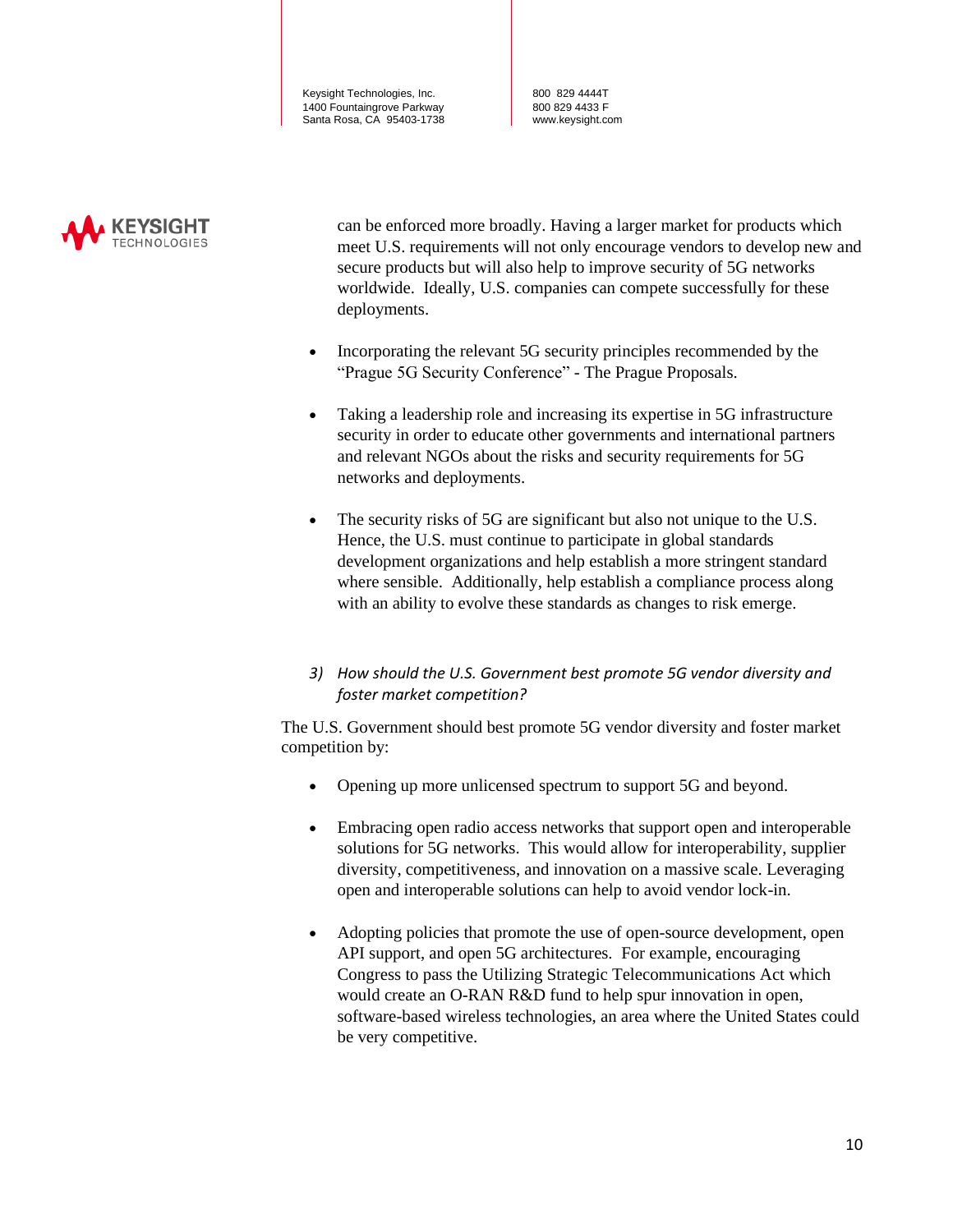800 829 4444T 800 829 4433 F www.keysight.com



can be enforced more broadly. Having a larger market for products which meet U.S. requirements will not only encourage vendors to develop new and secure products but will also help to improve security of 5G networks worldwide. Ideally, U.S. companies can compete successfully for these deployments.

- Incorporating the relevant 5G security principles recommended by the "Prague 5G Security Conference" - The Prague Proposals.
- Taking a leadership role and increasing its expertise in 5G infrastructure security in order to educate other governments and international partners and relevant NGOs about the risks and security requirements for 5G networks and deployments.
- The security risks of 5G are significant but also not unique to the U.S. Hence, the U.S. must continue to participate in global standards development organizations and help establish a more stringent standard where sensible. Additionally, help establish a compliance process along with an ability to evolve these standards as changes to risk emerge.
- *3) How should the U.S. Government best promote 5G vendor diversity and foster market competition?*

The U.S. Government should best promote 5G vendor diversity and foster market competition by:

- Opening up more unlicensed spectrum to support 5G and beyond.
- Embracing open radio access networks that support open and interoperable solutions for 5G networks. This would allow for interoperability, supplier diversity, competitiveness, and innovation on a massive scale. Leveraging open and interoperable solutions can help to avoid vendor lock-in.
- Adopting policies that promote the use of open-source development, open API support, and open 5G architectures. For example, encouraging Congress to pass the Utilizing Strategic Telecommunications Act which would create an O-RAN R&D fund to help spur innovation in open, software-based wireless technologies, an area where the United States could be very competitive.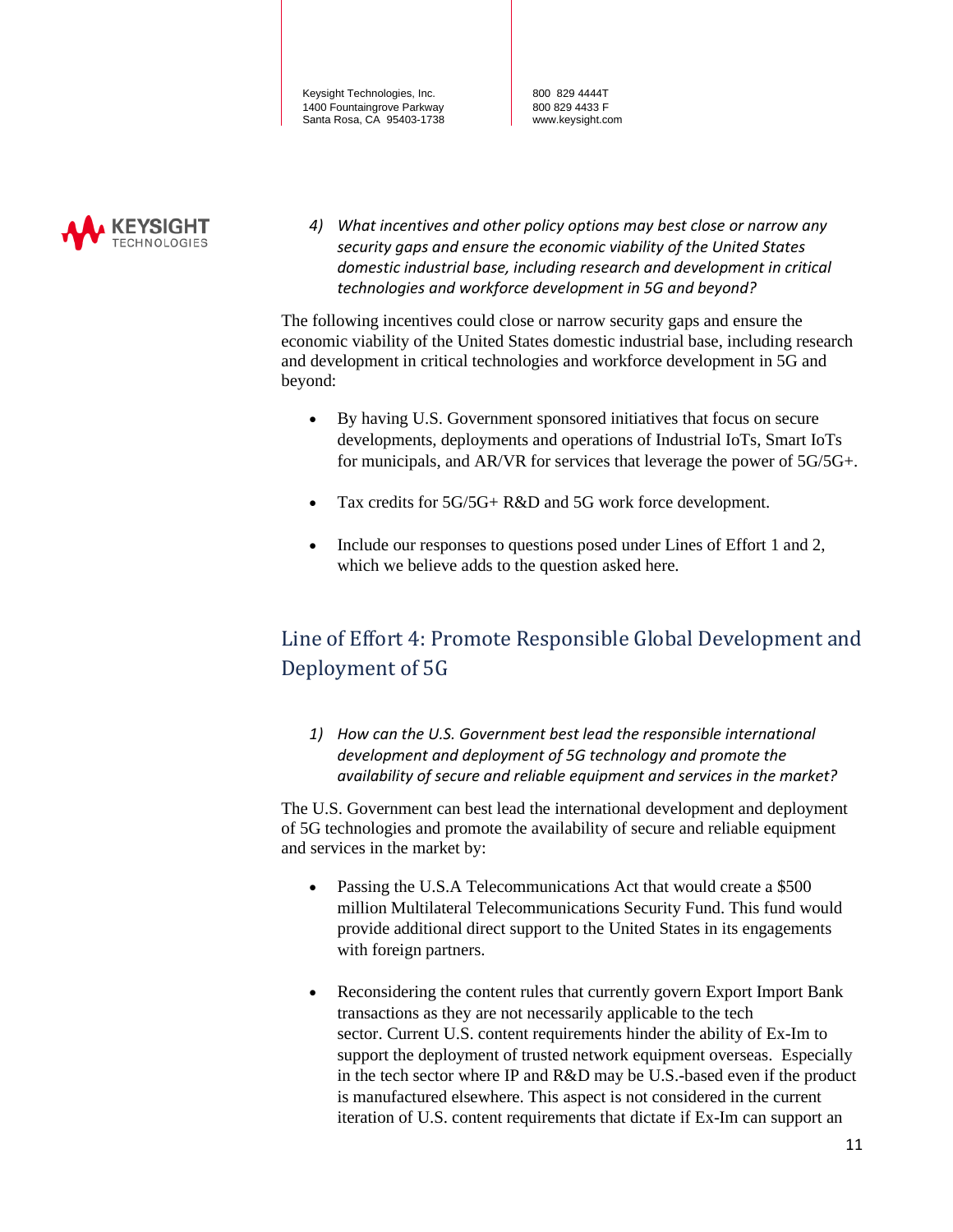800 829 4444T 800 829 4433 F www.keysight.com



*4) What incentives and other policy options may best close or narrow any security gaps and ensure the economic viability of the United States domestic industrial base, including research and development in critical technologies and workforce development in 5G and beyond?* 

The following incentives could close or narrow security gaps and ensure the economic viability of the United States domestic industrial base, including research and development in critical technologies and workforce development in 5G and beyond:

- By having U.S. Government sponsored initiatives that focus on secure developments, deployments and operations of Industrial IoTs, Smart IoTs for municipals, and AR/VR for services that leverage the power of 5G/5G+.
- Tax credits for 5G/5G+ R&D and 5G work force development.
- Include our responses to questions posed under Lines of Effort 1 and 2, which we believe adds to the question asked here.

## Line of Effort 4: Promote Responsible Global Development and Deployment of 5G

*1) How can the U.S. Government best lead the responsible international development and deployment of 5G technology and promote the availability of secure and reliable equipment and services in the market?* 

The U.S. Government can best lead the international development and deployment of 5G technologies and promote the availability of secure and reliable equipment and services in the market by:

- Passing the U.S.A Telecommunications Act that would create a \$500 million Multilateral Telecommunications Security Fund. This fund would provide additional direct support to the United States in its engagements with foreign partners.
- Reconsidering the content rules that currently govern Export Import Bank transactions as they are not necessarily applicable to the tech sector. Current U.S. content requirements hinder the ability of Ex-Im to support the deployment of trusted network equipment overseas. Especially in the tech sector where IP and R&D may be U.S.-based even if the product is manufactured elsewhere. This aspect is not considered in the current iteration of U.S. content requirements that dictate if Ex-Im can support an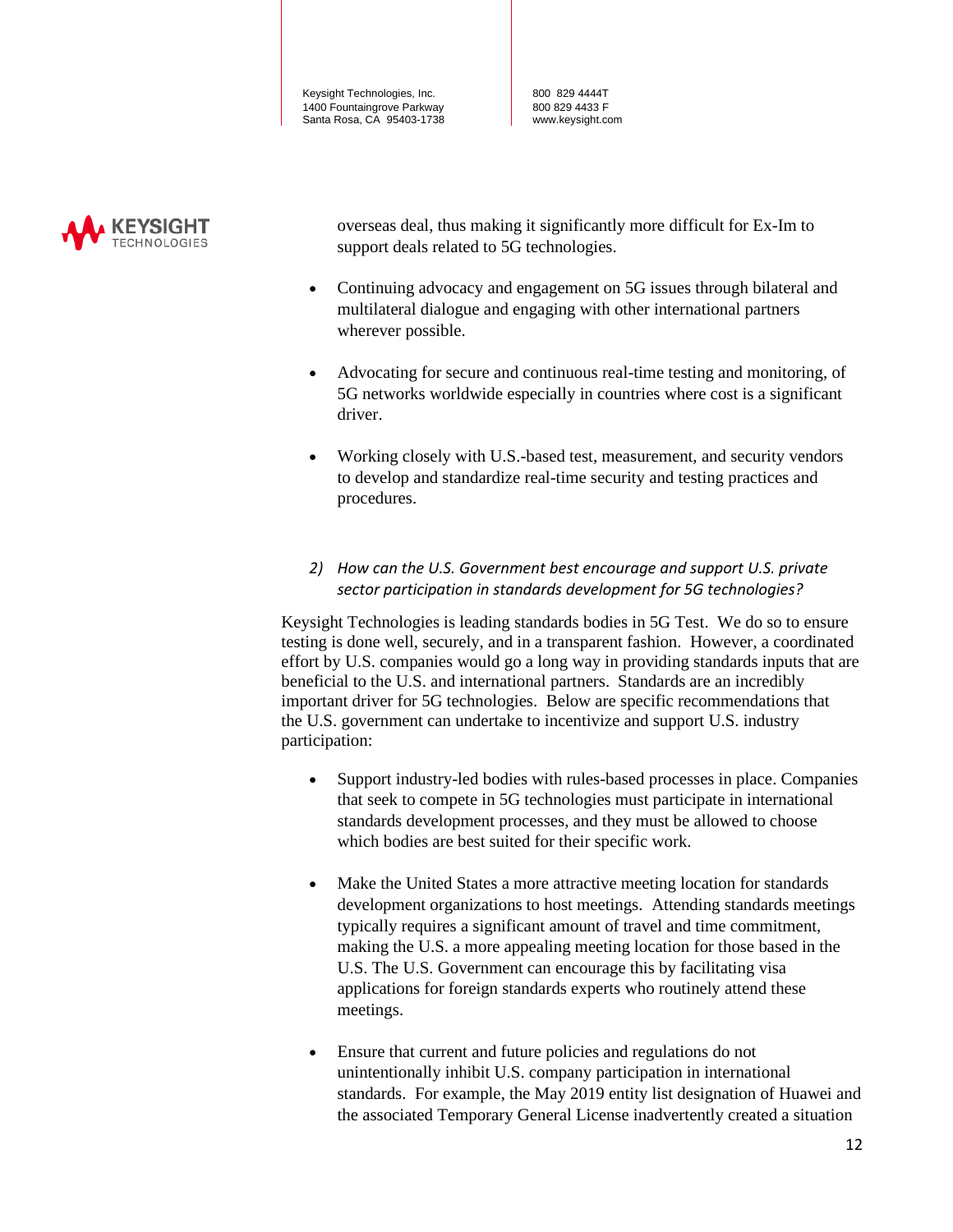800 829 4444T 800 829 4433 F www.keysight.com



overseas deal, thus making it significantly more difficult for Ex-Im to support deals related to 5G technologies.

- Continuing advocacy and engagement on 5G issues through bilateral and multilateral dialogue and engaging with other international partners wherever possible.
- Advocating for secure and continuous real-time testing and monitoring, of 5G networks worldwide especially in countries where cost is a significant driver.
- Working closely with U.S.-based test, measurement, and security vendors to develop and standardize real-time security and testing practices and procedures.

#### *2) How can the U.S. Government best encourage and support U.S. private sector participation in standards development for 5G technologies?*

Keysight Technologies is leading standards bodies in 5G Test. We do so to ensure testing is done well, securely, and in a transparent fashion. However, a coordinated effort by U.S. companies would go a long way in providing standards inputs that are beneficial to the U.S. and international partners. Standards are an incredibly important driver for 5G technologies. Below are specific recommendations that the U.S. government can undertake to incentivize and support U.S. industry participation:

- Support industry-led bodies with rules-based processes in place. Companies that seek to compete in 5G technologies must participate in international standards development processes, and they must be allowed to choose which bodies are best suited for their specific work.
- Make the United States a more attractive meeting location for standards development organizations to host meetings. Attending standards meetings typically requires a significant amount of travel and time commitment, making the U.S. a more appealing meeting location for those based in the U.S. The U.S. Government can encourage this by facilitating visa applications for foreign standards experts who routinely attend these meetings.
- Ensure that current and future policies and regulations do not unintentionally inhibit U.S. company participation in international standards. For example, the May 2019 entity list designation of Huawei and the associated Temporary General License inadvertently created a situation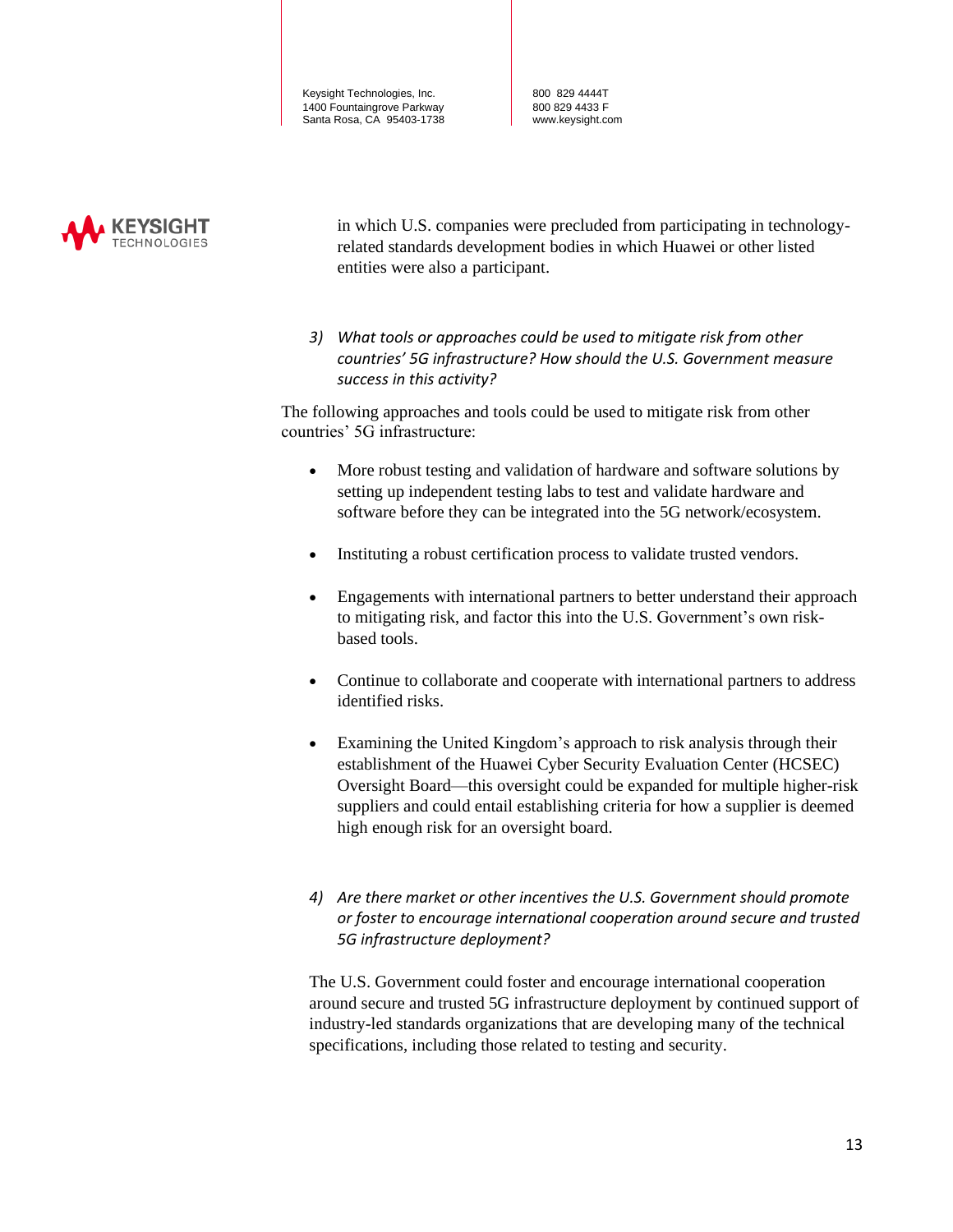800 829 4444T 800 829 4433 F www.keysight.com



in which U.S. companies were precluded from participating in technologyrelated standards development bodies in which Huawei or other listed entities were also a participant.

*3) What tools or approaches could be used to mitigate risk from other countries' 5G infrastructure? How should the U.S. Government measure success in this activity?* 

The following approaches and tools could be used to mitigate risk from other countries' 5G infrastructure:

- More robust testing and validation of hardware and software solutions by setting up independent testing labs to test and validate hardware and software before they can be integrated into the 5G network/ecosystem.
- Instituting a robust certification process to validate trusted vendors.
- Engagements with international partners to better understand their approach to mitigating risk, and factor this into the U.S. Government's own riskbased tools.
- Continue to collaborate and cooperate with international partners to address identified risks.
- Examining the United Kingdom's approach to risk analysis through their establishment of the Huawei Cyber Security Evaluation Center (HCSEC) Oversight Board—this oversight could be expanded for multiple higher-risk suppliers and could entail establishing criteria for how a supplier is deemed high enough risk for an oversight board.
- *4) Are there market or other incentives the U.S. Government should promote or foster to encourage international cooperation around secure and trusted 5G infrastructure deployment?*

The U.S. Government could foster and encourage international cooperation around secure and trusted 5G infrastructure deployment by continued support of industry-led standards organizations that are developing many of the technical specifications, including those related to testing and security.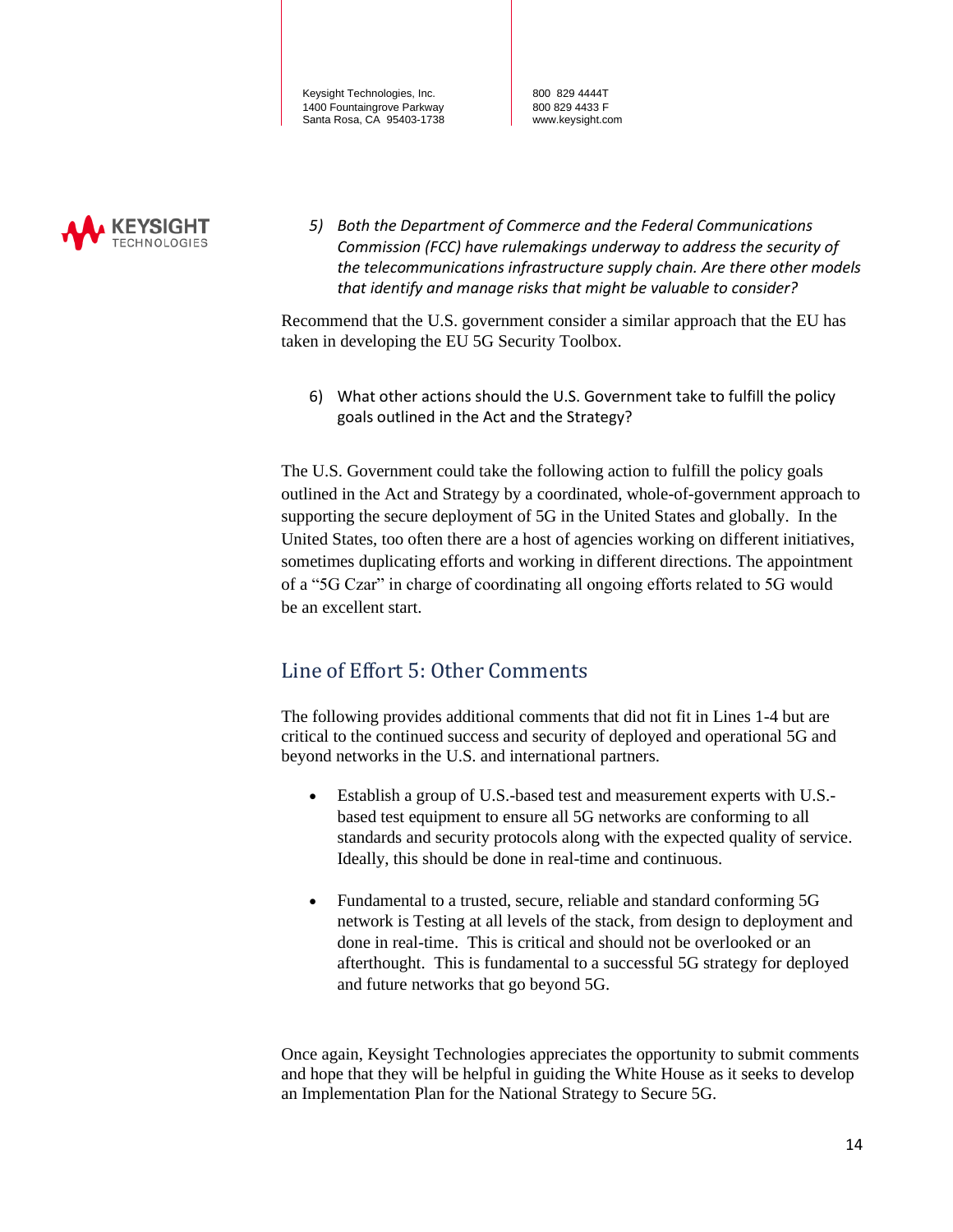800 829 4444T 800 829 4433 F www.keysight.com



*5) Both the Department of Commerce and the Federal Communications Commission (FCC) have rulemakings underway to address the security of the telecommunications infrastructure supply chain. Are there other models that identify and manage risks that might be valuable to consider?* 

Recommend that the U.S. government consider a similar approach that the EU has taken in developing the EU 5G Security Toolbox.

6) What other actions should the U.S. Government take to fulfill the policy goals outlined in the Act and the Strategy?

The U.S. Government could take the following action to fulfill the policy goals outlined in the Act and Strategy by a coordinated, whole-of-government approach to supporting the secure deployment of 5G in the United States and globally. In the United States, too often there are a host of agencies working on different initiatives, sometimes duplicating efforts and working in different directions. The appointment of a "5G Czar" in charge of coordinating all ongoing efforts related to 5G would be an excellent start.

### Line of Effort 5: Other Comments

The following provides additional comments that did not fit in Lines 1-4 but are critical to the continued success and security of deployed and operational 5G and beyond networks in the U.S. and international partners.

- Establish a group of U.S.-based test and measurement experts with U.S. based test equipment to ensure all 5G networks are conforming to all standards and security protocols along with the expected quality of service. Ideally, this should be done in real-time and continuous.
- Fundamental to a trusted, secure, reliable and standard conforming 5G network is Testing at all levels of the stack, from design to deployment and done in real-time. This is critical and should not be overlooked or an afterthought. This is fundamental to a successful 5G strategy for deployed and future networks that go beyond 5G.

Once again, Keysight Technologies appreciates the opportunity to submit comments and hope that they will be helpful in guiding the White House as it seeks to develop an Implementation Plan for the National Strategy to Secure 5G.